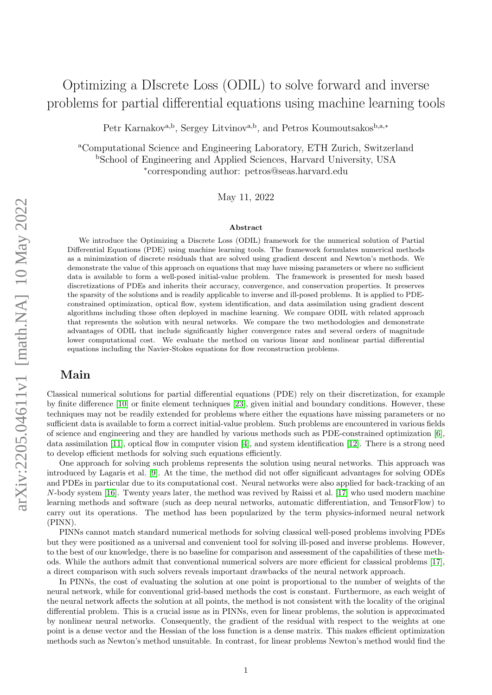# Optimizing a DIscrete Loss (ODIL) to solve forward and inverse problems for partial differential equations using machine learning tools

Petr Karnakov<sup>a,b</sup>, Sergey Litvinov<sup>a,b</sup>, and Petros Koumoutsakos<sup>b,a,∗</sup>

<sup>a</sup>Computational Science and Engineering Laboratory, ETH Zurich, Switzerland <sup>b</sup>School of Engineering and Applied Sciences, Harvard University, USA ∗ corresponding author: petros@seas.harvard.edu

May 11, 2022

#### Abstract

We introduce the Optimizing a Discrete Loss (ODIL) framework for the numerical solution of Partial Differential Equations (PDE) using machine learning tools. The framework formulates numerical methods as a minimization of discrete residuals that are solved using gradient descent and Newton's methods. We demonstrate the value of this approach on equations that may have missing parameters or where no sufficient data is available to form a well-posed initial-value problem. The framework is presented for mesh based discretizations of PDEs and inherits their accuracy, convergence, and conservation properties. It preserves the sparsity of the solutions and is readily applicable to inverse and ill-posed problems. It is applied to PDEconstrained optimization, optical flow, system identification, and data assimilation using gradient descent algorithms including those often deployed in machine learning. We compare ODIL with related approach that represents the solution with neural networks. We compare the two methodologies and demonstrate advantages of ODIL that include significantly higher convergence rates and several orders of magnitude lower computational cost. We evaluate the method on various linear and nonlinear partial differential equations including the Navier-Stokes equations for flow reconstruction problems.

# Main

Classical numerical solutions for partial differential equations (PDE) rely on their discretization, for example by finite difference [\[10\]](#page-6-0) or finite element techniques [\[23\]](#page-6-1), given initial and boundary conditions. However, these techniques may not be readily extended for problems where either the equations have missing parameters or no sufficient data is available to form a correct initial-value problem. Such problems are encountered in various fields of science and engineering and they are handled by various methods such as PDE-constrained optimization [\[6\]](#page-6-2), data assimilation [\[11\]](#page-6-3), optical flow in computer vision [\[4\]](#page-6-4), and system identification [\[12\]](#page-6-5). There is a strong need to develop efficient methods for solving such equations efficiently.

One approach for solving such problems represents the solution using neural networks. This approach was introduced by Lagaris et al. [\[9\]](#page-6-6). At the time, the method did not offer significant advantages for solving ODEs and PDEs in particular due to its computational cost. Neural networks were also applied for back-tracking of an N-body system [\[16\]](#page-6-7). Twenty years later, the method was revived by Raissi et al. [\[17\]](#page-6-8) who used modern machine learning methods and software (such as deep neural networks, automatic differentiation, and TensorFlow) to carry out its operations. The method has been popularized by the term physics-informed neural network (PINN).

PINNs cannot match standard numerical methods for solving classical well-posed problems involving PDEs but they were positioned as a universal and convenient tool for solving ill-posed and inverse problems. However, to the best of our knowledge, there is no baseline for comparison and assessment of the capabilities of these methods. While the authors admit that conventional numerical solvers are more efficient for classical problems [\[17\]](#page-6-8), a direct comparison with such solvers reveals important drawbacks of the neural network approach.

In PINNs, the cost of evaluating the solution at one point is proportional to the number of weights of the neural network, while for conventional grid-based methods the cost is constant. Furthermore, as each weight of the neural network affects the solution at all points, the method is not consistent with the locality of the original differential problem. This is a crucial issue as in PINNs, even for linear problems, the solution is approximated by nonlinear neural networks. Consequently, the gradient of the residual with respect to the weights at one point is a dense vector and the Hessian of the loss function is a dense matrix. This makes efficient optimization methods such as Newton's method unsuitable. In contrast, for linear problems Newton's method would find the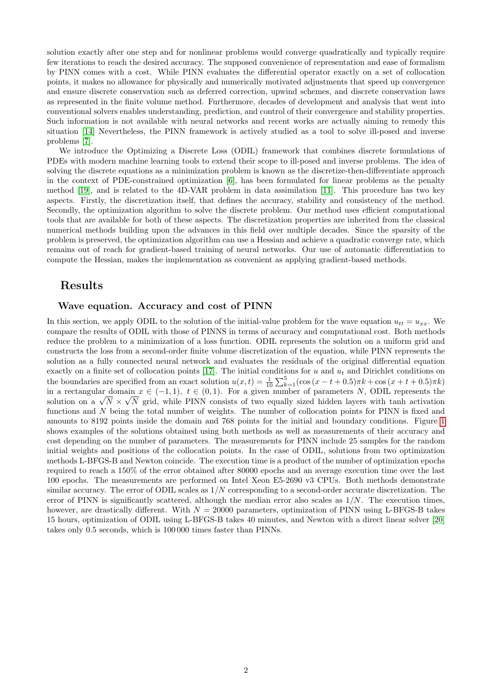solution exactly after one step and for nonlinear problems would converge quadratically and typically require few iterations to reach the desired accuracy. The supposed convenience of representation and ease of formalism by PINN comes with a cost. While PINN evaluates the differential operator exactly on a set of collocation points, it makes no allowance for physically and numerically motivated adjustments that speed up convergence and ensure discrete conservation such as deferred correction, upwind schemes, and discrete conservation laws as represented in the finite volume method. Furthermore, decades of development and analysis that went into conventional solvers enables understanding, prediction, and control of their convergence and stability properties. Such information is not available with neural networks and recent works are actually aiming to remedy this situation [\[14\]](#page-6-9) Nevertheless, the PINN framework is actively studied as a tool to solve ill-posed and inverse problems [\[7\]](#page-6-10).

We introduce the Optimizing a Discrete Loss (ODIL) framework that combines discrete formulations of PDEs with modern machine learning tools to extend their scope to ill-posed and inverse problems. The idea of solving the discrete equations as a minimization problem is known as the discretize-then-differentiate approach in the context of PDE-constrained optimization [\[6\]](#page-6-2), has been formulated for linear problems as the penalty method [\[19\]](#page-6-11), and is related to the 4D-VAR problem in data assimilation [\[11\]](#page-6-3). This procedure has two key aspects. Firstly, the discretization itself, that defines the accuracy, stability and consistency of the method. Secondly, the optimization algorithm to solve the discrete problem. Our method uses efficient computational tools that are available for both of these aspects. The discretization properties are inherited from the classical numerical methods building upon the advances in this field over multiple decades. Since the sparsity of the problem is preserved, the optimization algorithm can use a Hessian and achieve a quadratic converge rate, which remains out of reach for gradient-based training of neural networks. Our use of automatic differentiation to compute the Hessian, makes the implementation as convenient as applying gradient-based methods.

# Results

#### Wave equation. Accuracy and cost of PINN

In this section, we apply ODIL to the solution of the initial-value problem for the wave equation  $u_{tt} = u_{xx}$ . We compare the results of ODIL with those of PINNS in terms of accuracy and computational cost. Both methods reduce the problem to a minimization of a loss function. ODIL represents the solution on a uniform grid and constructs the loss from a second-order finite volume discretization of the equation, while PINN represents the solution as a fully connected neural network and evaluates the residuals of the original differential equation exactly on a finite set of collocation points [\[17\]](#page-6-8). The initial conditions for u and  $u_t$  and Dirichlet conditions on the boundaries are specified from an exact solution  $u(x,t) = \frac{1}{10} \sum_{k=1}^{5} (\cos(x - t + 0.5)\pi k + \cos(x + t + 0.5)\pi k)$ in a rectangular domain  $x \in (-1,1)$ ,  $t \in (0,1)$ . For a given number of parameters N, ODIL represents the in a rectangular domain  $x \in (-1, 1)$ ,  $t \in (0, 1)$ . For a given number of parameters N, ODIL represents the solution on a  $\sqrt{N} \times \sqrt{N}$  grid, while PINN consists of two equally sized hidden layers with tanh activation functions and N being the total number of weights. The number of collocation points for PINN is fixed and amounts to 8192 points inside the domain and 768 points for the initial and boundary conditions. Figure [1](#page-2-0) shows examples of the solutions obtained using both methods as well as measurements of their accuracy and cost depending on the number of parameters. The measurements for PINN include 25 samples for the random initial weights and positions of the collocation points. In the case of ODIL, solutions from two optimization methods L-BFGS-B and Newton coincide. The execution time is a product of the number of optimization epochs required to reach a 150% of the error obtained after 80000 epochs and an average execution time over the last 100 epochs. The measurements are performed on Intel Xeon E5-2690 v3 CPUs. Both methods demonstrate similar accuracy. The error of ODIL scales as  $1/N$  corresponding to a second-order accurate discretization. The error of PINN is significantly scattered, although the median error also scales as  $1/N$ . The execution times, however, are drastically different. With  $N = 20000$  parameters, optimization of PINN using L-BFGS-B takes 15 hours, optimization of ODIL using L-BFGS-B takes 40 minutes, and Newton with a direct linear solver [\[20\]](#page-6-12) takes only 0.5 seconds, which is 100 000 times faster than PINNs.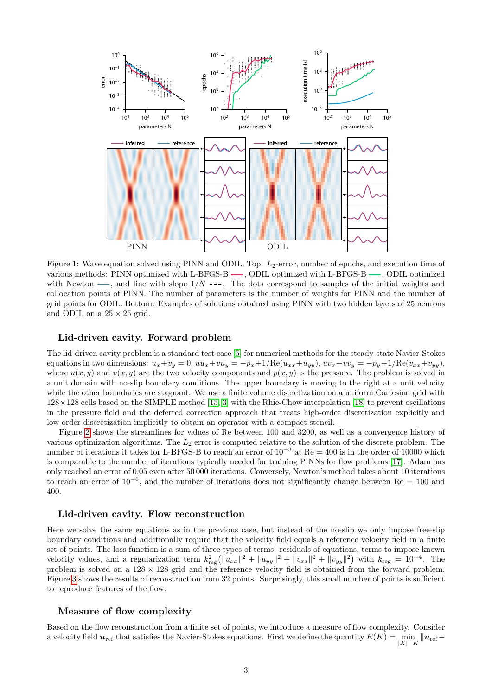

<span id="page-2-0"></span>Figure 1: Wave equation solved using PINN and ODIL. Top:  $L_2$ -error, number of epochs, and execution time of various methods: PINN optimized with L-BFGS-B —, ODIL optimized with L-BFGS-B —, ODIL optimized with Newton  $\longrightarrow$ , and line with slope  $1/N$  ---. The dots correspond to samples of the initial weights and collocation points of PINN. The number of parameters is the number of weights for PINN and the number of grid points for ODIL. Bottom: Examples of solutions obtained using PINN with two hidden layers of 25 neurons and ODIL on a  $25 \times 25$  grid.

#### Lid-driven cavity. Forward problem

The lid-driven cavity problem is a standard test case [\[5\]](#page-6-13) for numerical methods for the steady-state Navier-Stokes equations in two dimensions:  $u_x + v_y = 0$ ,  $uu_x + vu_y = -p_x + 1/\text{Re}(u_{xx} + u_{yy})$ ,  $uv_x + vv_y = -p_y + 1/\text{Re}(v_{xx} + v_{yy})$ , where  $u(x, y)$  and  $v(x, y)$  are the two velocity components and  $p(x, y)$  is the pressure. The problem is solved in a unit domain with no-slip boundary conditions. The upper boundary is moving to the right at a unit velocity while the other boundaries are stagnant. We use a finite volume discretization on a uniform Cartesian grid with 128×128 cells based on the SIMPLE method [\[15,](#page-6-14) [3\]](#page-6-15) with the Rhie-Chow interpolation [\[18\]](#page-6-16) to prevent oscillations in the pressure field and the deferred correction approach that treats high-order discretization explicitly and low-order discretization implicitly to obtain an operator with a compact stencil.

Figure [2](#page-3-0) shows the streamlines for values of Re between 100 and 3200, as well as a convergence history of various optimization algorithms. The  $L_2$  error is computed relative to the solution of the discrete problem. The number of iterations it takes for L-BFGS-B to reach an error of 10<sup>−</sup><sup>3</sup> at Re = 400 is in the order of 10000 which is comparable to the number of iterations typically needed for training PINNs for flow problems [\[17\]](#page-6-8). Adam has only reached an error of 0.05 even after 50 000 iterations. Conversely, Newton's method takes about 10 iterations to reach an error of  $10^{-6}$ , and the number of iterations does not significantly change between Re = 100 and 400.

#### Lid-driven cavity. Flow reconstruction

Here we solve the same equations as in the previous case, but instead of the no-slip we only impose free-slip boundary conditions and additionally require that the velocity field equals a reference velocity field in a finite set of points. The loss function is a sum of three types of terms: residuals of equations, terms to impose known velocity values, and a regularization term  $k_{\text{reg}}^2 (\|u_{xx}\|^2 + \|u_{yy}\|^2 + \|v_{xx}\|^2 + \|v_{yy}\|^2)$  with  $k_{\text{reg}} = 10^{-4}$ . The problem is solved on a  $128 \times 128$  grid and the reference velocity field is obtained from the forward problem. Figure [3](#page-3-1) shows the results of reconstruction from 32 points. Surprisingly, this small number of points is sufficient to reproduce features of the flow.

#### Measure of flow complexity

Based on the flow reconstruction from a finite set of points, we introduce a measure of flow complexity. Consider a velocity field  $u_{\text{ref}}$  that satisfies the Navier-Stokes equations. First we define the quantity  $E(K) = \min_{|X|=K} ||u_{\text{ref}} - u_{\text{ref}}||$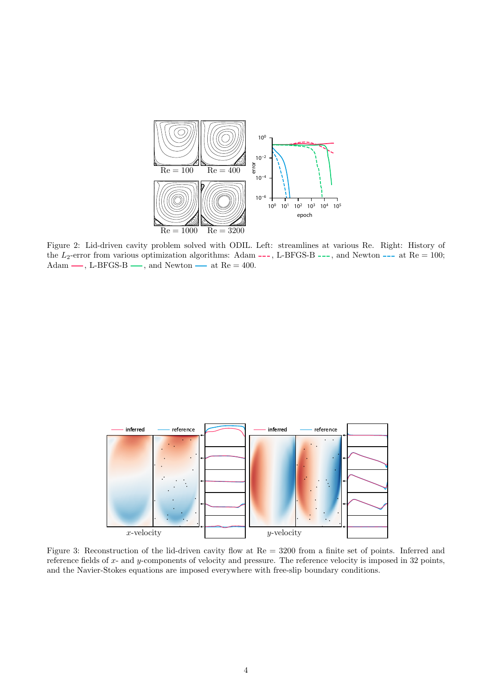

<span id="page-3-0"></span>Figure 2: Lid-driven cavity problem solved with ODIL. Left: streamlines at various Re. Right: History of the  $L_2$ -error from various optimization algorithms: Adam ---, L-BFGS-B ---, and Newton --- at Re = 100; Adam —, L-BFGS-B —, and Newton — at Re = 400.



<span id="page-3-1"></span>Figure 3: Reconstruction of the lid-driven cavity flow at Re = 3200 from a finite set of points. Inferred and reference fields of  $x$ - and  $y$ -components of velocity and pressure. The reference velocity is imposed in 32 points, and the Navier-Stokes equations are imposed everywhere with free-slip boundary conditions.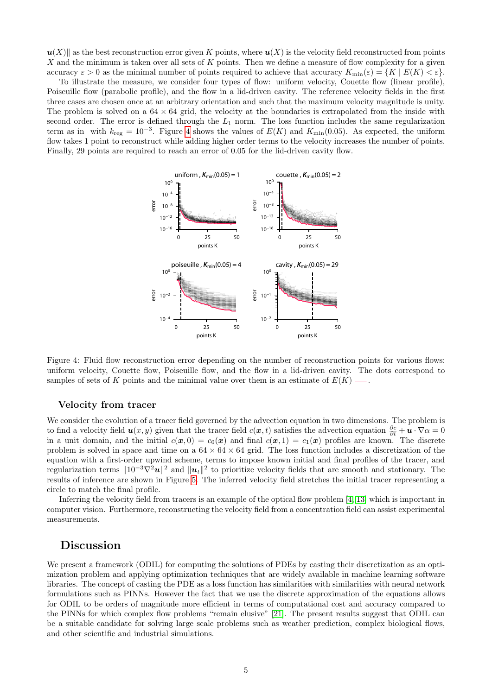$u(X)$  as the best reconstruction error given K points, where  $u(X)$  is the velocity field reconstructed from points X and the minimum is taken over all sets of K points. Then we define a measure of flow complexity for a given accuracy  $\varepsilon > 0$  as the minimal number of points required to achieve that accuracy  $K_{\min}(\varepsilon) = \{K \mid E(K) < \varepsilon\}.$ 

To illustrate the measure, we consider four types of flow: uniform velocity, Couette flow (linear profile), Poiseuille flow (parabolic profile), and the flow in a lid-driven cavity. The reference velocity fields in the first three cases are chosen once at an arbitrary orientation and such that the maximum velocity magnitude is unity. The problem is solved on a  $64 \times 64$  grid, the velocity at the boundaries is extrapolated from the inside with second order. The error is defined through the  $L_1$  norm. The loss function includes the same regularization term as in with  $k_{\text{reg}} = 10^{-3}$ . Figure [4](#page-4-0) shows the values of  $E(K)$  and  $K_{\text{min}}(0.05)$ . As expected, the uniform flow takes 1 point to reconstruct while adding higher order terms to the velocity increases the number of points. Finally, 29 points are required to reach an error of 0.05 for the lid-driven cavity flow.



<span id="page-4-0"></span>Figure 4: Fluid flow reconstruction error depending on the number of reconstruction points for various flows: uniform velocity, Couette flow, Poiseuille flow, and the flow in a lid-driven cavity. The dots correspond to samples of sets of K points and the minimal value over them is an estimate of  $E(K)$  ...

#### Velocity from tracer

We consider the evolution of a tracer field governed by the advection equation in two dimensions. The problem is to find a velocity field  $u(x, y)$  given that the tracer field  $c(x, t)$  satisfies the advection equation  $\frac{\partial c}{\partial t} + u \cdot \nabla \alpha = 0$ in a unit domain, and the initial  $c(x, 0) = c_0(x)$  and final  $c(x, 1) = c_1(x)$  profiles are known. The discrete problem is solved in space and time on a  $64 \times 64 \times 64$  grid. The loss function includes a discretization of the equation with a first-order upwind scheme, terms to impose known initial and final profiles of the tracer, and regularization terms  $||10^{-3}\nabla^2 u||^2$  and  $||u_t||^2$  to prioritize velocity fields that are smooth and stationary. The results of inference are shown in Figure [5.](#page-5-0) The inferred velocity field stretches the initial tracer representing a circle to match the final profile.

Inferring the velocity field from tracers is an example of the optical flow problem [\[4,](#page-6-4) [13\]](#page-6-17) which is important in computer vision. Furthermore, reconstructing the velocity field from a concentration field can assist experimental measurements.

## Discussion

We present a framework (ODIL) for computing the solutions of PDEs by casting their discretization as an optimization problem and applying optimization techniques that are widely available in machine learning software libraries. The concept of casting the PDE as a loss function has similarities with similarities with neural network formulations such as PINNs. However the fact that we use the discrete approximation of the equations allows for ODIL to be orders of magnitude more efficient in terms of computational cost and accuracy compared to the PINNs for which complex flow problems "remain elusive" [\[21\]](#page-6-18). The present results suggest that ODIL can be a suitable candidate for solving large scale problems such as weather prediction, complex biological flows, and other scientific and industrial simulations.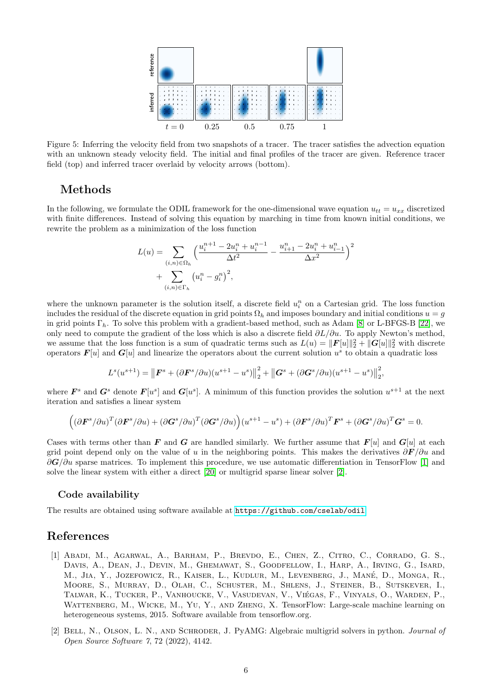

<span id="page-5-0"></span>Figure 5: Inferring the velocity field from two snapshots of a tracer. The tracer satisfies the advection equation with an unknown steady velocity field. The initial and final profiles of the tracer are given. Reference tracer field (top) and inferred tracer overlaid by velocity arrows (bottom).

## Methods

In the following, we formulate the ODIL framework for the one-dimensional wave equation  $u_{tt} = u_{xx}$  discretized with finite differences. Instead of solving this equation by marching in time from known initial conditions, we rewrite the problem as a minimization of the loss function

$$
L(u) = \sum_{(i,n)\in\Omega_h} \left(\frac{u_i^{n+1} - 2u_i^n + u_i^{n-1}}{\Delta t^2} - \frac{u_{i+1}^n - 2u_i^n + u_{i-1}^n}{\Delta x^2}\right)^2
$$
  
+ 
$$
\sum_{(i,n)\in\Gamma_h} (u_i^n - g_i^n)^2,
$$

where the unknown parameter is the solution itself, a discrete field  $u_i^n$  on a Cartesian grid. The loss function includes the residual of the discrete equation in grid points  $\Omega_h$  and imposes boundary and initial conditions  $u = g$ in grid points  $\Gamma_h$ . To solve this problem with a gradient-based method, such as Adam [\[8\]](#page-6-19) or L-BFGS-B [\[22\]](#page-6-20), we only need to compute the gradient of the loss which is also a discrete field  $\partial L/\partial u$ . To apply Newton's method, we assume that the loss function is a sum of quadratic terms such as  $L(u) = ||\boldsymbol{F}[u]||_2^2 + ||\boldsymbol{G}[u]||_2^2$  with discrete operators  $F[u]$  and  $G[u]$  and linearize the operators about the current solution  $u^s$  to obtain a quadratic loss

$$
L^{s}(u^{s+1}) = \left\| \boldsymbol{F}^{s} + (\partial \boldsymbol{F}^{s}/\partial u)(u^{s+1} - u^{s}) \right\|_{2}^{2} + \left\| \boldsymbol{G}^{s} + (\partial \boldsymbol{G}^{s}/\partial u)(u^{s+1} - u^{s}) \right\|_{2}^{2},
$$

where  $\mathbf{F}^s$  and  $\mathbf{G}^s$  denote  $\mathbf{F}[u^s]$  and  $\mathbf{G}[u^s]$ . A minimum of this function provides the solution  $u^{s+1}$  at the next iteration and satisfies a linear system

$$
((\partial \boldsymbol{F}^s/\partial u)^T(\partial \boldsymbol{F}^s/\partial u) + (\partial \boldsymbol{G}^s/\partial u)^T(\partial \boldsymbol{G}^s/\partial u)\big)(u^{s+1} - u^s) + (\partial \boldsymbol{F}^s/\partial u)^T \boldsymbol{F}^s + (\partial \boldsymbol{G}^s/\partial u)^T \boldsymbol{G}^s = 0.
$$

Cases with terms other than F and G are handled similarly. We further assume that  $F[u]$  and  $G[u]$  at each grid point depend only on the value of u in the neighboring points. This makes the derivatives  $\partial \bm{F}/\partial u$  and  $\partial G/\partial u$  sparse matrices. To implement this procedure, we use automatic differentiation in TensorFlow [\[1\]](#page-5-1) and solve the linear system with either a direct [\[20\]](#page-6-12) or multigrid sparse linear solver [\[2\]](#page-5-2).

#### Code availability

The results are obtained using software available at <https://github.com/cselab/odil>.

### References

- <span id="page-5-1"></span>[1] Abadi, M., Agarwal, A., Barham, P., Brevdo, E., Chen, Z., Citro, C., Corrado, G. S., Davis, A., Dean, J., Devin, M., Ghemawat, S., Goodfellow, I., Harp, A., Irving, G., Isard, M., JIA, Y., JOZEFOWICZ, R., KAISER, L., KUDLUR, M., LEVENBERG, J., MANÉ, D., MONGA, R., Moore, S., Murray, D., Olah, C., Schuster, M., Shlens, J., Steiner, B., Sutskever, I., Talwar, K., Tucker, P., Vanhoucke, V., Vasudevan, V., Viegas, F., Vinyals, O., Warden, P., ´ Wattenberg, M., Wicke, M., Yu, Y., and Zheng, X. TensorFlow: Large-scale machine learning on heterogeneous systems, 2015. Software available from tensorflow.org.
- <span id="page-5-2"></span>[2] Bell, N., Olson, L. N., and Schroder, J. PyAMG: Algebraic multigrid solvers in python. Journal of Open Source Software 7, 72 (2022), 4142.